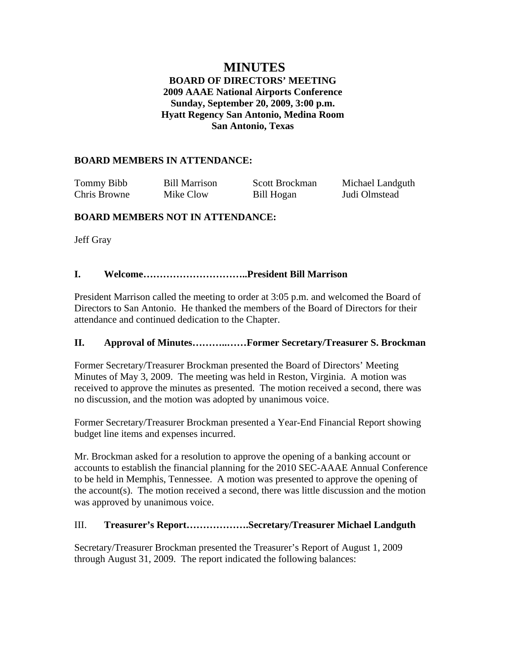## **MINUTES BOARD OF DIRECTORS' MEETING 2009 AAAE National Airports Conference Sunday, September 20, 2009, 3:00 p.m. Hyatt Regency San Antonio, Medina Room San Antonio, Texas**

### **BOARD MEMBERS IN ATTENDANCE:**

| Tommy Bibb   | <b>Bill Marrison</b> | Scott Brockman | Michael Landguth |
|--------------|----------------------|----------------|------------------|
| Chris Browne | Mike Clow            | Bill Hogan     | Judi Olmstead    |

## **BOARD MEMBERS NOT IN ATTENDANCE:**

Jeff Gray

### **I. Welcome…………………………..President Bill Marrison**

President Marrison called the meeting to order at 3:05 p.m. and welcomed the Board of Directors to San Antonio. He thanked the members of the Board of Directors for their attendance and continued dedication to the Chapter.

## **II. Approval of Minutes………..……Former Secretary/Treasurer S. Brockman**

Former Secretary/Treasurer Brockman presented the Board of Directors' Meeting Minutes of May 3, 2009. The meeting was held in Reston, Virginia. A motion was received to approve the minutes as presented. The motion received a second, there was no discussion, and the motion was adopted by unanimous voice.

Former Secretary/Treasurer Brockman presented a Year-End Financial Report showing budget line items and expenses incurred.

Mr. Brockman asked for a resolution to approve the opening of a banking account or accounts to establish the financial planning for the 2010 SEC-AAAE Annual Conference to be held in Memphis, Tennessee. A motion was presented to approve the opening of the account(s). The motion received a second, there was little discussion and the motion was approved by unanimous voice.

## III. **Treasurer's Report……………….Secretary/Treasurer Michael Landguth**

Secretary/Treasurer Brockman presented the Treasurer's Report of August 1, 2009 through August 31, 2009. The report indicated the following balances: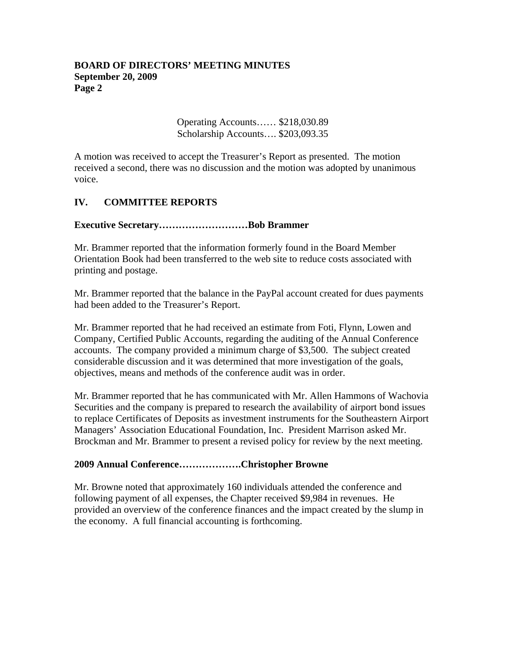Operating Accounts…… \$218,030.89 Scholarship Accounts…. \$203,093.35

A motion was received to accept the Treasurer's Report as presented. The motion received a second, there was no discussion and the motion was adopted by unanimous voice.

## **IV. COMMITTEE REPORTS**

### **Executive Secretary………………………Bob Brammer**

Mr. Brammer reported that the information formerly found in the Board Member Orientation Book had been transferred to the web site to reduce costs associated with printing and postage.

Mr. Brammer reported that the balance in the PayPal account created for dues payments had been added to the Treasurer's Report.

Mr. Brammer reported that he had received an estimate from Foti, Flynn, Lowen and Company, Certified Public Accounts, regarding the auditing of the Annual Conference accounts. The company provided a minimum charge of \$3,500. The subject created considerable discussion and it was determined that more investigation of the goals, objectives, means and methods of the conference audit was in order.

Mr. Brammer reported that he has communicated with Mr. Allen Hammons of Wachovia Securities and the company is prepared to research the availability of airport bond issues to replace Certificates of Deposits as investment instruments for the Southeastern Airport Managers' Association Educational Foundation, Inc. President Marrison asked Mr. Brockman and Mr. Brammer to present a revised policy for review by the next meeting.

#### **2009 Annual Conference……………….Christopher Browne**

Mr. Browne noted that approximately 160 individuals attended the conference and following payment of all expenses, the Chapter received \$9,984 in revenues. He provided an overview of the conference finances and the impact created by the slump in the economy. A full financial accounting is forthcoming.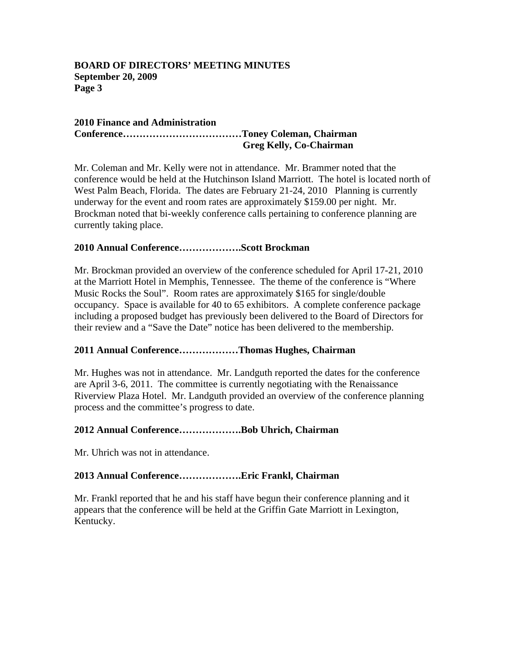#### **2010 Finance and Administration Conference………………………………Toney Coleman, Chairman Greg Kelly, Co-Chairman**

Mr. Coleman and Mr. Kelly were not in attendance. Mr. Brammer noted that the conference would be held at the Hutchinson Island Marriott. The hotel is located north of West Palm Beach, Florida. The dates are February 21-24, 2010 Planning is currently underway for the event and room rates are approximately \$159.00 per night. Mr. Brockman noted that bi-weekly conference calls pertaining to conference planning are currently taking place.

## **2010 Annual Conference……………….Scott Brockman**

Mr. Brockman provided an overview of the conference scheduled for April 17-21, 2010 at the Marriott Hotel in Memphis, Tennessee. The theme of the conference is "Where Music Rocks the Soul". Room rates are approximately \$165 for single/double occupancy. Space is available for 40 to 65 exhibitors. A complete conference package including a proposed budget has previously been delivered to the Board of Directors for their review and a "Save the Date" notice has been delivered to the membership.

## **2011 Annual Conference………………Thomas Hughes, Chairman**

Mr. Hughes was not in attendance. Mr. Landguth reported the dates for the conference are April 3-6, 2011. The committee is currently negotiating with the Renaissance Riverview Plaza Hotel. Mr. Landguth provided an overview of the conference planning process and the committee's progress to date.

## **2012 Annual Conference……………….Bob Uhrich, Chairman**

Mr. Uhrich was not in attendance.

## **2013 Annual Conference……………….Eric Frankl, Chairman**

Mr. Frankl reported that he and his staff have begun their conference planning and it appears that the conference will be held at the Griffin Gate Marriott in Lexington, Kentucky.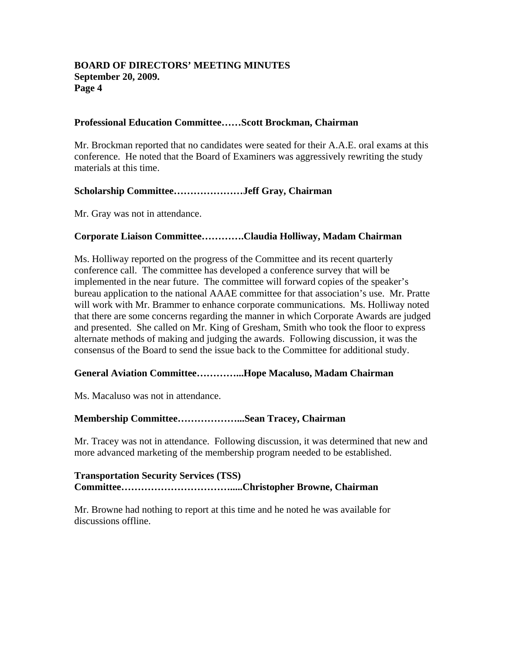#### **Professional Education Committee……Scott Brockman, Chairman**

Mr. Brockman reported that no candidates were seated for their A.A.E. oral exams at this conference. He noted that the Board of Examiners was aggressively rewriting the study materials at this time.

### **Scholarship Committee…………………Jeff Gray, Chairman**

Mr. Gray was not in attendance.

### **Corporate Liaison Committee………….Claudia Holliway, Madam Chairman**

Ms. Holliway reported on the progress of the Committee and its recent quarterly conference call. The committee has developed a conference survey that will be implemented in the near future. The committee will forward copies of the speaker's bureau application to the national AAAE committee for that association's use. Mr. Pratte will work with Mr. Brammer to enhance corporate communications. Ms. Holliway noted that there are some concerns regarding the manner in which Corporate Awards are judged and presented. She called on Mr. King of Gresham, Smith who took the floor to express alternate methods of making and judging the awards. Following discussion, it was the consensus of the Board to send the issue back to the Committee for additional study.

#### **General Aviation Committee…………...Hope Macaluso, Madam Chairman**

Ms. Macaluso was not in attendance.

#### **Membership Committee………………...Sean Tracey, Chairman**

Mr. Tracey was not in attendance. Following discussion, it was determined that new and more advanced marketing of the membership program needed to be established.

### **Transportation Security Services (TSS) Committee…………………………….....Christopher Browne, Chairman**

Mr. Browne had nothing to report at this time and he noted he was available for discussions offline.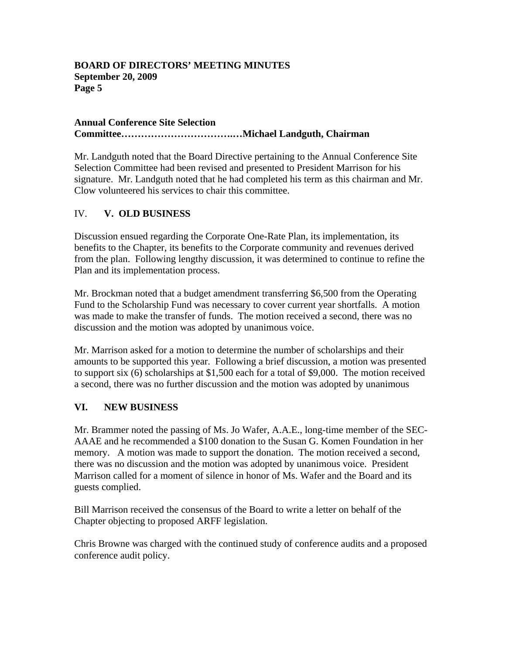#### **Annual Conference Site Selection Committee…………………………….…Michael Landguth, Chairman**

Mr. Landguth noted that the Board Directive pertaining to the Annual Conference Site Selection Committee had been revised and presented to President Marrison for his signature. Mr. Landguth noted that he had completed his term as this chairman and Mr. Clow volunteered his services to chair this committee.

# IV. **V. OLD BUSINESS**

Discussion ensued regarding the Corporate One-Rate Plan, its implementation, its benefits to the Chapter, its benefits to the Corporate community and revenues derived from the plan. Following lengthy discussion, it was determined to continue to refine the Plan and its implementation process.

Mr. Brockman noted that a budget amendment transferring \$6,500 from the Operating Fund to the Scholarship Fund was necessary to cover current year shortfalls. A motion was made to make the transfer of funds. The motion received a second, there was no discussion and the motion was adopted by unanimous voice.

Mr. Marrison asked for a motion to determine the number of scholarships and their amounts to be supported this year. Following a brief discussion, a motion was presented to support six (6) scholarships at \$1,500 each for a total of \$9,000. The motion received a second, there was no further discussion and the motion was adopted by unanimous

# **VI. NEW BUSINESS**

Mr. Brammer noted the passing of Ms. Jo Wafer, A.A.E., long-time member of the SEC-AAAE and he recommended a \$100 donation to the Susan G. Komen Foundation in her memory. A motion was made to support the donation. The motion received a second, there was no discussion and the motion was adopted by unanimous voice. President Marrison called for a moment of silence in honor of Ms. Wafer and the Board and its guests complied.

Bill Marrison received the consensus of the Board to write a letter on behalf of the Chapter objecting to proposed ARFF legislation.

Chris Browne was charged with the continued study of conference audits and a proposed conference audit policy.